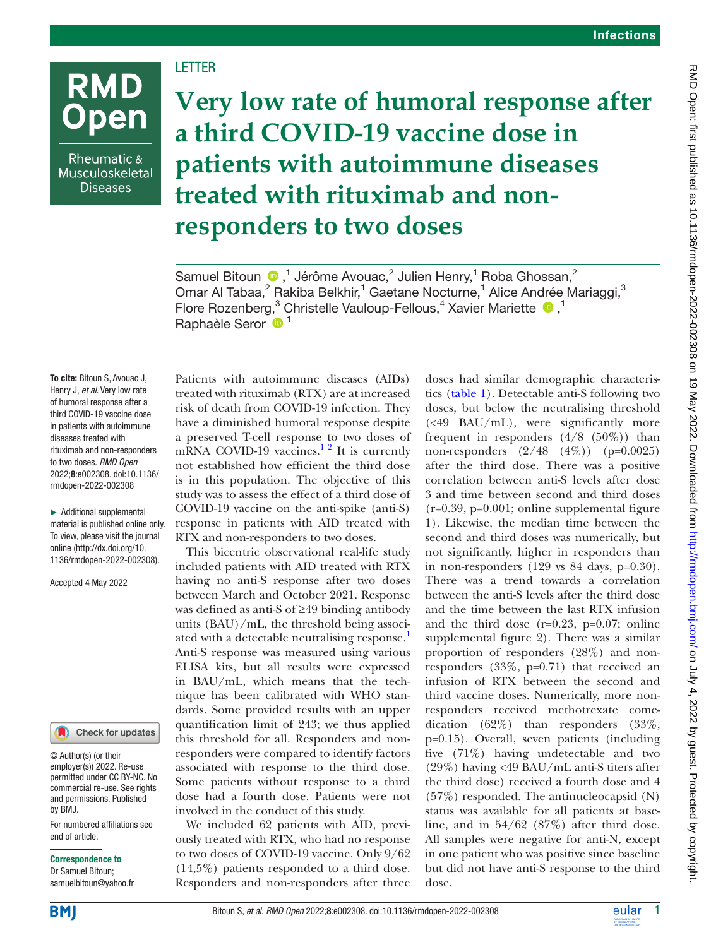# LETTER

Rheumatic & Musculoskeletal **Diseases** 

**RMD** 

**Open** 

**Very low rate of humoral response after a third COVID-19 vaccine dose in patients with autoimmune diseases treated with rituximab and nonresponders to two doses**

Samuel Bitoun  $\bigcirc$ ,<sup>1</sup> Jérôme Avouac,<sup>2</sup> Julien Henry,<sup>1</sup> Roba Ghossan,<sup>2</sup> Omar Al Tabaa,<sup>2</sup> Rakiba Belkhir,<sup>1</sup> Gaetane Nocturne,<sup>1</sup> Alice Andrée Mariaggi,<sup>3</sup> FloreRozenberg,<sup>3</sup> Christelle Vauloup-Fellous,<sup>4</sup> Xavier Mariette <sup>1</sup>,<sup>1</sup> Raphaèle Seror <sup>1</sup>

To cite: Bitoun S, Avouac J, Henry J, *et al*. Very low rate of humoral response after a third COVID-19 vaccine dose in patients with autoimmune diseases treated with rituximab and non-responders to two doses. *RMD Open* 2022;8:e002308. doi:10.1136/ rmdopen-2022-002308

► Additional supplemental material is published online only. To view, please visit the journal online ([http://dx.doi.org/10.](http://dx.doi.org/10.1136/rmdopen-2022-002308) [1136/rmdopen-2022-002308\)](http://dx.doi.org/10.1136/rmdopen-2022-002308).

Accepted 4 May 2022

# Check for updates

© Author(s) (or their employer(s)) 2022. Re-use permitted under CC BY-NC. No commercial re-use. See rights and permissions. Published by BMJ.

For numbered affiliations see end of article.

## Correspondence to

Dr Samuel Bitoun; samuelbitoun@yahoo.fr

Patients with autoimmune diseases (AIDs) treated with rituximab (RTX) are at increased risk of death from COVID-19 infection. They have a diminished humoral response despite a preserved T-cell response to two doses of mRNA COVID-19 vaccines.<sup>[1 2](#page-2-0)</sup> It is currently not established how efficient the third dose is in this population. The objective of this study was to assess the effect of a third dose of COVID-19 vaccine on the anti-spike (anti-S) response in patients with AID treated with RTX and non-responders to two doses.

This bicentric observational real-life study included patients with AID treated with RTX having no anti-S response after two doses between March and October 2021. Response was defined as anti-S of ≥49 binding antibody units (BAU)/mL, the threshold being associated with a detectable neutralising response.<sup>1</sup> Anti-S response was measured using various ELISA kits, but all results were expressed in BAU/mL, which means that the technique has been calibrated with WHO standards. Some provided results with an upper quantification limit of 243; we thus applied this threshold for all. Responders and nonresponders were compared to identify factors associated with response to the third dose. Some patients without response to a third dose had a fourth dose. Patients were not involved in the conduct of this study.

We included 62 patients with AID, previously treated with RTX, who had no response to two doses of COVID-19 vaccine. Only 9/62 (14,5%) patients responded to a third dose. Responders and non-responders after three

doses had similar demographic characteristics ([table](#page-1-0) 1). Detectable anti-S following two doses, but below the neutralising threshold (<49 BAU/mL), were significantly more frequent in responders  $(4/8 (50\%)$  than non-responders  $(2/48 \quad (4\%)$  (p=0.0025) after the third dose. There was a positive correlation between anti-S levels after dose 3 and time between second and third doses (r=0.39, p=0.001; [online supplemental figure](https://dx.doi.org/10.1136/rmdopen-2022-002308) [1\)](https://dx.doi.org/10.1136/rmdopen-2022-002308). Likewise, the median time between the second and third doses was numerically, but not significantly, higher in responders than in non-responders  $(129 \text{ vs } 84 \text{ days}, \text{ p=0.30}).$ There was a trend towards a correlation between the anti-S levels after the third dose and the time between the last RTX infusion and the third dose (r=0.23, p=0.07; [online](https://dx.doi.org/10.1136/rmdopen-2022-002308) [supplemental figure 2\)](https://dx.doi.org/10.1136/rmdopen-2022-002308). There was a similar proportion of responders (28%) and nonresponders (33%, p=0.71) that received an infusion of RTX between the second and third vaccine doses. Numerically, more nonresponders received methotrexate comedication (62%) than responders (33%, p=0.15). Overall, seven patients (including five (71%) having undetectable and two (29%) having <49 BAU/mL anti-S titers after the third dose) received a fourth dose and 4 (57%) responded. The antinucleocapsid (N) status was available for all patients at baseline, and in 54/62 (87%) after third dose. All samples were negative for anti-N, except in one patient who was positive since baseline but did not have anti-S response to the third dose.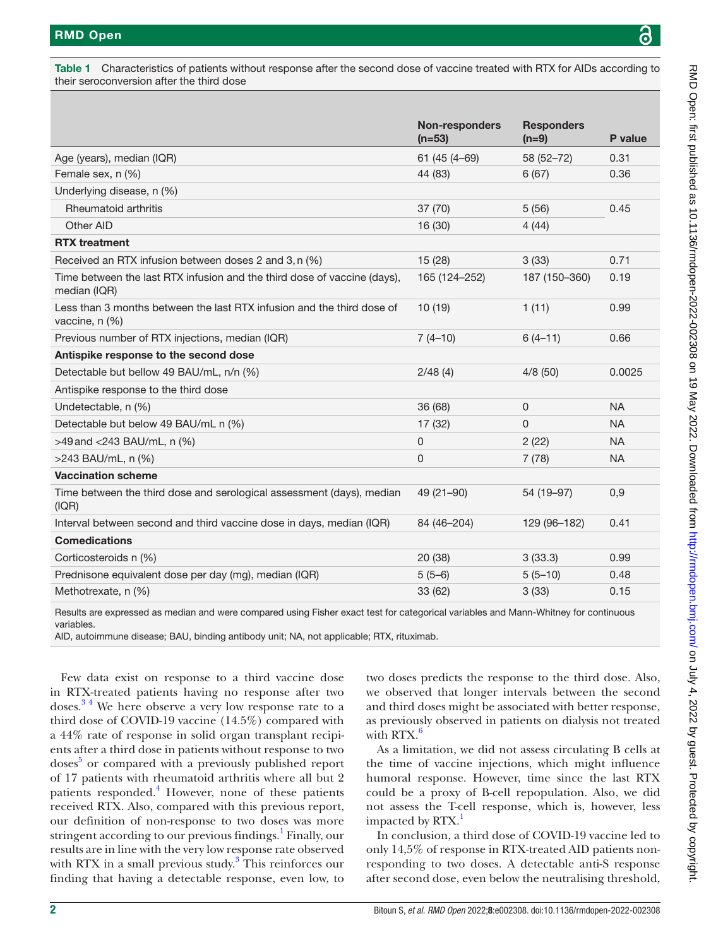<span id="page-1-0"></span>Table 1 Characteristics of patients without response after the second dose of vaccine treated with RTX for AIDs according to their seroconversion after the third dose

|                                                                                          | <b>Non-responders</b> | <b>Responders</b> |           |
|------------------------------------------------------------------------------------------|-----------------------|-------------------|-----------|
|                                                                                          | $(n=53)$              | $(n=9)$           | P value   |
| Age (years), median (IQR)                                                                | 61 (45 (4-69)         | 58 (52-72)        | 0.31      |
| Female sex, n (%)                                                                        | 44 (83)               | 6(67)             | 0.36      |
| Underlying disease, n (%)                                                                |                       |                   |           |
| Rheumatoid arthritis                                                                     | 37(70)                | 5(56)             | 0.45      |
| Other AID                                                                                | 16 (30)               | 4(44)             |           |
| <b>RTX</b> treatment                                                                     |                       |                   |           |
| Received an RTX infusion between doses 2 and 3, n (%)                                    | 15(28)                | 3(33)             | 0.71      |
| Time between the last RTX infusion and the third dose of vaccine (days),<br>median (IQR) | 165 (124-252)         | 187 (150-360)     | 0.19      |
| Less than 3 months between the last RTX infusion and the third dose of<br>vaccine, n (%) | 10(19)                | 1(11)             | 0.99      |
| Previous number of RTX injections, median (IQR)                                          | $7(4-10)$             | $6(4-11)$         | 0.66      |
| Antispike response to the second dose                                                    |                       |                   |           |
| Detectable but bellow 49 BAU/mL, n/n (%)                                                 | 2/48(4)               | 4/8(50)           | 0.0025    |
| Antispike response to the third dose                                                     |                       |                   |           |
| Undetectable, n (%)                                                                      | 36 (68)               | 0                 | <b>NA</b> |
| Detectable but below 49 BAU/mL n (%)                                                     | 17 (32)               | 0                 | <b>NA</b> |
| $>49$ and $<$ 243 BAU/mL, n (%)                                                          | $\mathbf 0$           | 2(22)             | <b>NA</b> |
| $>243$ BAU/mL, n $(\%)$                                                                  | $\Omega$              | 7(78)             | <b>NA</b> |
| <b>Vaccination scheme</b>                                                                |                       |                   |           |
| Time between the third dose and serological assessment (days), median<br>(IQR)           | 49 (21-90)            | 54 (19-97)        | 0,9       |
| Interval between second and third vaccine dose in days, median (IQR)                     | 84 (46-204)           | 129 (96-182)      | 0.41      |
| <b>Comedications</b>                                                                     |                       |                   |           |
| Corticosteroids n (%)                                                                    | 20 (38)               | 3(33.3)           | 0.99      |
| Prednisone equivalent dose per day (mg), median (IQR)                                    | $5(5-6)$              | $5(5-10)$         | 0.48      |
| Methotrexate, n (%)                                                                      | 33 (62)               | 3(33)             | 0.15      |
|                                                                                          |                       |                   |           |

Results are expressed as median and were compared using Fisher exact test for categorical variables and Mann-Whitney for continuous variables.

AID, autoimmune disease; BAU, binding antibody unit; NA, not applicable; RTX, rituximab.

Few data exist on response to a third vaccine dose in RTX-treated patients having no response after two doses[.3 4](#page-2-1) We here observe a very low response rate to a third dose of COVID-19 vaccine (14.5%) compared with a 44% rate of response in solid organ transplant recipients after a third dose in patients without response to two doses<sup>[5](#page-2-2)</sup> or compared with a previously published report of 17 patients with rheumatoid arthritis where all but 2 patients responded.<sup>[4](#page-2-3)</sup> However, none of these patients received RTX. Also, compared with this previous report, our definition of non-response to two doses was more stringent according to our previous findings.<sup>[1](#page-2-0)</sup> Finally, our results are in line with the very low response rate observed with RTX in a small previous study.<sup>[3](#page-2-1)</sup> This reinforces our finding that having a detectable response, even low, to

two doses predicts the response to the third dose. Also, we observed that longer intervals between the second and third doses might be associated with better response, as previously observed in patients on dialysis not treated with RTX.<sup>[6](#page-2-4)</sup>

As a limitation, we did not assess circulating B cells at the time of vaccine injections, which might influence humoral response. However, time since the last RTX could be a proxy of B-cell repopulation. Also, we did not assess the T-cell response, which is, however, less impacted by RTX.<sup>1</sup>

In conclusion, a third dose of COVID-19 vaccine led to only 14,5% of response in RTX-treated AID patients nonresponding to two doses. A detectable anti-S response after second dose, even below the neutralising threshold,